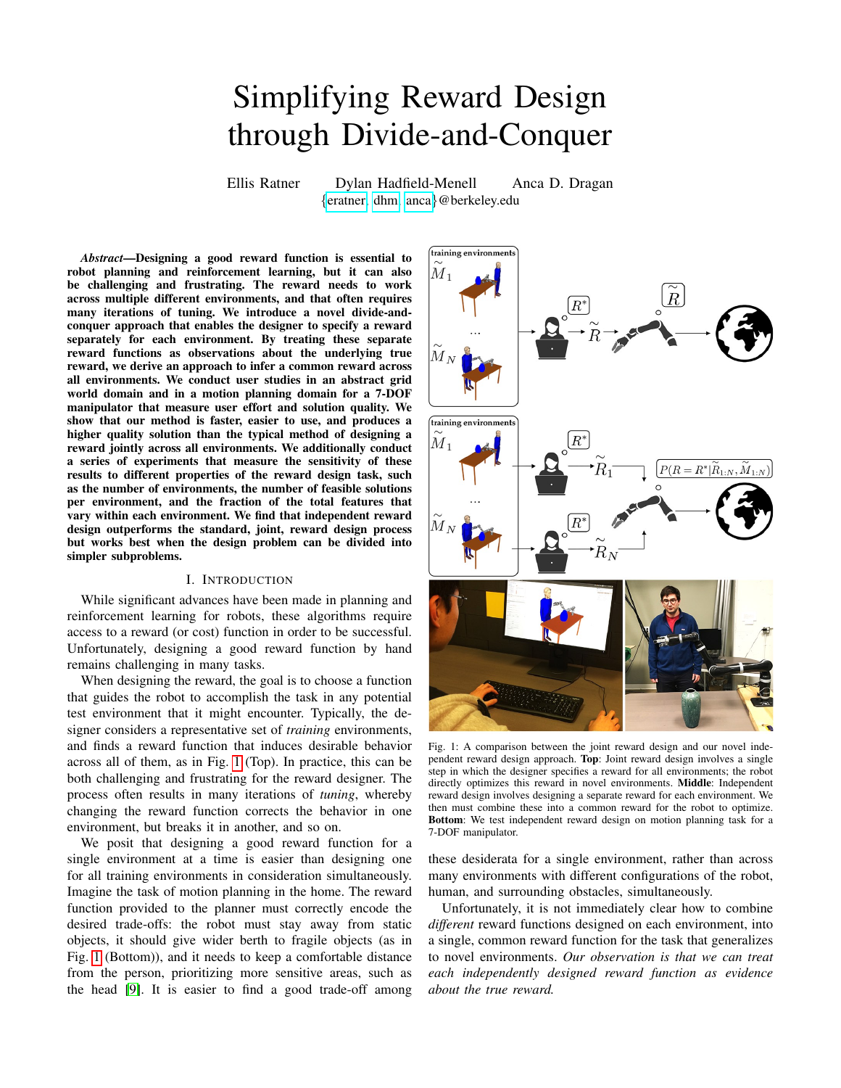# Simplifying Reward Design through Divide-and-Conquer

Ellis Ratner Dylan Hadfield-Menell Anca D. Dragan {[eratner,](eratner@berkeley.edu) [dhm,](dhm@berkeley.edu) [anca](anca@berkeley.edu)}@berkeley.edu

*Abstract*—Designing a good reward function is essential to robot planning and reinforcement learning, but it can also be challenging and frustrating. The reward needs to work across multiple different environments, and that often requires many iterations of tuning. We introduce a novel divide-andconquer approach that enables the designer to specify a reward separately for each environment. By treating these separate reward functions as observations about the underlying true reward, we derive an approach to infer a common reward across all environments. We conduct user studies in an abstract grid world domain and in a motion planning domain for a 7-DOF manipulator that measure user effort and solution quality. We show that our method is faster, easier to use, and produces a higher quality solution than the typical method of designing a reward jointly across all environments. We additionally conduct a series of experiments that measure the sensitivity of these results to different properties of the reward design task, such as the number of environments, the number of feasible solutions per environment, and the fraction of the total features that vary within each environment. We find that independent reward design outperforms the standard, joint, reward design process but works best when the design problem can be divided into simpler subproblems.

## I. INTRODUCTION

While significant advances have been made in planning and reinforcement learning for robots, these algorithms require access to a reward (or cost) function in order to be successful. Unfortunately, designing a good reward function by hand remains challenging in many tasks.

When designing the reward, the goal is to choose a function that guides the robot to accomplish the task in any potential test environment that it might encounter. Typically, the designer considers a representative set of *training* environments, and finds a reward function that induces desirable behavior across all of them, as in Fig. [1](#page-0-0) (Top). In practice, this can be both challenging and frustrating for the reward designer. The process often results in many iterations of *tuning*, whereby changing the reward function corrects the behavior in one environment, but breaks it in another, and so on.

We posit that designing a good reward function for a single environment at a time is easier than designing one for all training environments in consideration simultaneously. Imagine the task of motion planning in the home. The reward function provided to the planner must correctly encode the desired trade-offs: the robot must stay away from static objects, it should give wider berth to fragile objects (as in Fig. [1](#page-0-0) (Bottom)), and it needs to keep a comfortable distance from the person, prioritizing more sensitive areas, such as the head [\[9\]](#page-8-0). It is easier to find a good trade-off among

<span id="page-0-0"></span>

Fig. 1: A comparison between the joint reward design and our novel independent reward design approach. Top: Joint reward design involves a single step in which the designer specifies a reward for all environments; the robot directly optimizes this reward in novel environments. Middle: Independent reward design involves designing a separate reward for each environment. We then must combine these into a common reward for the robot to optimize. Bottom: We test independent reward design on motion planning task for a 7-DOF manipulator.

these desiderata for a single environment, rather than across many environments with different configurations of the robot, human, and surrounding obstacles, simultaneously.

Unfortunately, it is not immediately clear how to combine *different* reward functions designed on each environment, into a single, common reward function for the task that generalizes to novel environments. *Our observation is that we can treat each independently designed reward function as evidence about the true reward.*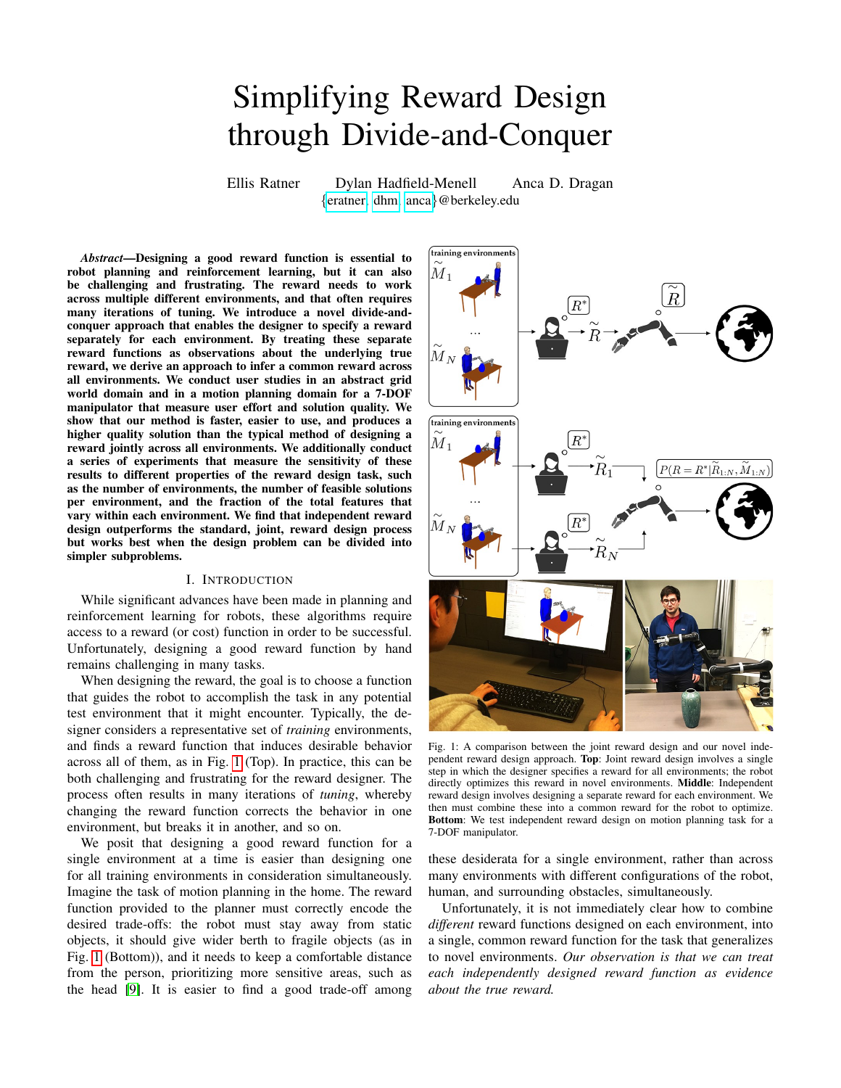Our contribution is two-fold:

*Independent* Reward Design. We introduce a divide-andconquer method for reward design, requiring less effort from the engineer to design a good reward function across multiple environments. The designer specifies a different reward for each environment, as in Fig. [1](#page-0-0) (Middle). This relaxes the requirement of specifying a single reward function that leads to task completion on all environments. To combine the reward functions, we make a simple assumption: that the behaviors that each reward induces in the respective environment has high reward with respect to the true, common reward function. We construct an observation model from this assumption building on our previous work in inverse reward design [\[5\]](#page-8-1), and use Bayesian inference to generate a posterior distribution over the true reward from independently designed rewards.

Analysis with Users. We evaluate our independent reward design method in a series of user studies where we ask people to design reward functions in two domains: first, for a grid world navigation problem, as in Fig. [2;](#page-4-0) and second, for a 7-DOF robot motion planning problem, in an environment containing both a human, as well as fragile and non-fragile objects. Across both domains, we find that independent reward design is significantly faster, with a 51.4% decrease in time taken on average, when compared to joint design. Users also found the independent process to be easier, with an average 84.6% increase on the subjective ease of use scale, and the solutions produced were higher quality, incurring an average of 69.8% less regret on held-out test environments when compared to the baseline joint reward process.

In addition to demonstrating the effectiveness of our independent reward design approach in the primary studies, we formulate a set of sensitivity analysis studies to understand more thoroughly *when* and *why* independent reward design works best. We vary several factors, such as training set size, difficulty level of the training set, as well as fraction of features present in each training environment. We find that independent design performs consistently better, regardless of difficulty level or number of environments: independent design takes 25.7% less time, and planning with the resulting reward distribution incurs 43.6% less regret on average. We find that independent design exhibits the strongest advantage when each environment contains only a subset of the possible features relevant to the task, and otherwise performs on par with joint design.

Overall, we are excited to contribute a framework that has the potential to make designing robot reward functions faster, easier, and more reliable in important real-world robotics problems.

## II. RELATED WORK

Inverse Reward Design. Our approach draws on "Inverse Reward Design (IRD)" [\[5\]](#page-8-1), a recent method designed to account for cases where the designer specified a reward function that works in training environments (i.e. jointly designed a reward function), but that might not generalize well to novel environments. For example, if the reward function for a selfdriving car were designed under clear weather conditions, then

the designer may have failed to specify that the car should slow down when the road is wet. IRD interprets the specified reward as an *observation*, constructing a probability distribution over what the true reward might be by looking at the context (the environments) in which the original reward was specified. When combined with risk-averse planning, this posterior over reward functions enables the robot to act conservatively in novel environments, i.e. slow down in rainy conditions.

In this work we have a different goal: we seek to make it easier to specify the reward. Treating the reward functions designed independently across multiple environments as observations enables us to combine them into a generalizable reward function.

Designing Reward Functions. The reward function is a crucial component of many planning and learning approaches. In "Where do rewards come from?" [\[15\]](#page-8-2), Singh et al. consider the problem of designing a reward function for an autonomous agent. They argue that, if the agent is suboptimal, then it may improve performance to give it a different reward function than the true reward function. In this work, we consider the setting where the *reward designer*, and not the agent, is the suboptimal one. We show that a divide-and-conquer approach to reward design reduces the burden on designers and enables better overall performance.

[\[14\]](#page-8-3) proposes and evaluates several interfaces for reward specification, eliciting three-way trade-offs from users. This is complementary to our approach, and could be adapted to collect data for our method. Furthermore, the divide-andconquer strategy suggests a natural way to scale this approach to collect arbitrary  $n$ -way trade-offs because we can combine observations from several three-way interactions.

[\[8\]](#page-8-4) presents a system to ground natural language commands to reward functions that capture a desired task. Using natural language as an interface for specifying rewards is complementary to our approach as well.

Inferring Reward Functions. There is a large body of research on inferring reward functions. An especially active area of study is "Inverse Reinforcement Learning (IRL)" [\[11,](#page-8-5) [18,](#page-8-6) [17,](#page-8-7) [4\]](#page-8-8), the problem of extracting a reward function from demonstrated behavior. While we share the common goal of inferring an unobserved reward function, we focus on specifying *reward functions*, and not demonstrating *behaviors*, as the means to get there.

Sometimes expert demonstrations do not communicate objectives most efficiently. In complex situations a supervisor may be able to recognize the correct behavior, but not demonstrate it. Sugiyama et al. [\[16\]](#page-8-9) use pairwise preferences to learn a reward function for dialog systems. Loftin et al. [\[7\]](#page-8-10) perform policy learning when the supervisor rewards *improvements* in the learned policy. Jain et al. [\[6\]](#page-8-11) assume that users can *demonstrate* local improvements for the policy. Christiano et al. [\[2\]](#page-8-12) generate comparison queries from an agent's experience and ask users for binary comparisons. Sadigh et al. [\[12\]](#page-8-13) show how to do active information gathering for a similar problem. Daniel et al. [\[3\]](#page-8-14) actively query a human for ratings to learn a reward for robotic tasks. In our view, these are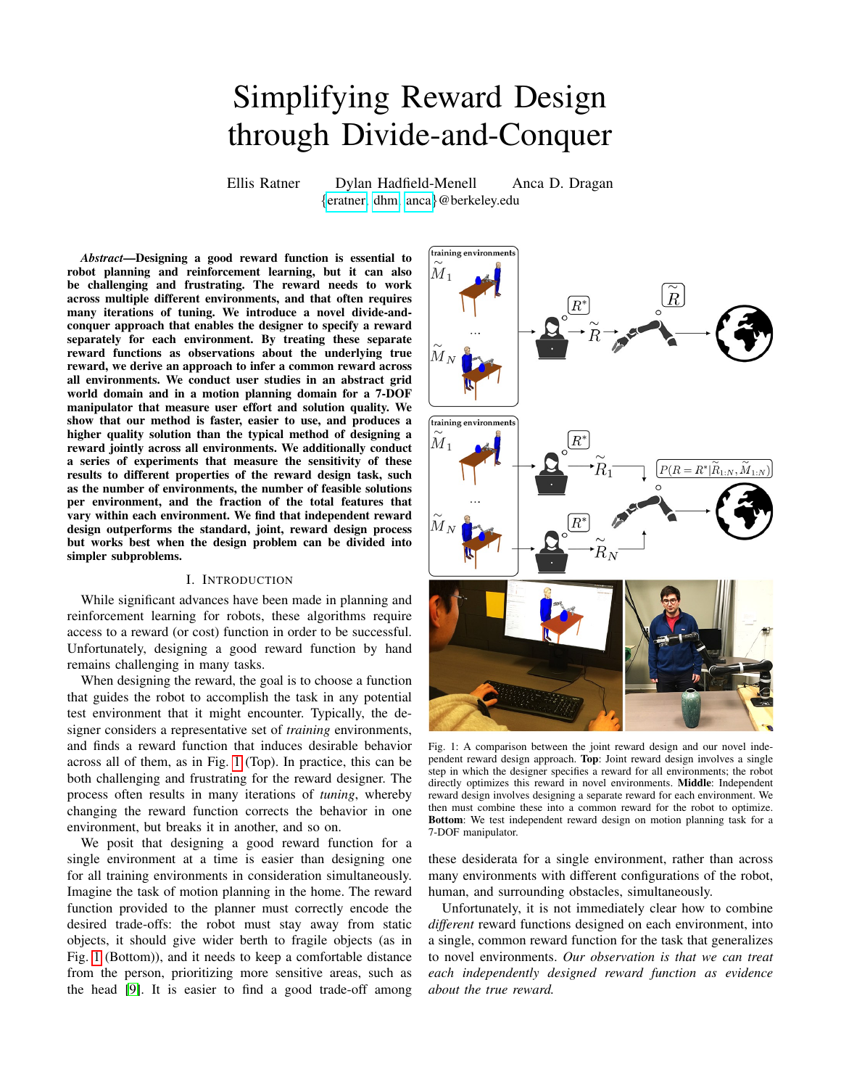all complementary approaches to elicit preference information from people, and our approach to reward design is another option in the toolkit.

## III. INDEPENDENT REWARD DESIGN

<span id="page-2-2"></span>Problem Statement. The robot must perform a task defined via some *true reward* function, which it does not have access to. The reward designer knows the task and thus knows this true reward function *implicitly*. Unfortunately, reward functions are not easy to explicate  $[1]$  – the designer has to turn intuition into a numerical description of the task.

We consider the reward  $R : \longrightarrow \mathbb{R}$  to be a function parameterized by the k-dimensional vector  $\theta \in \mathbb{R}^k$ , where

is the set of trajectories, or sequences of states and actions. The true reward function is parameterized by  $\theta \in \mathbb{R}^k$ . In practice, we may wish to choose a class of functions whose parameters are easily specified by the designer (e.g. linear in features of the states and actions), and for which there exist efficient optimization algorithms.

Both the robot and the designer have access to a set of N training environments  $\{M_{1:N}\}\$ . The designer specifies N *proxy* reward functions  $\theta_{1:N}$ , one for each environment, where we assume that  $\theta_i$  leads to successful task execution in environment  $\{M_i\}$ . Specifically, success corresponds to finding the trajectory  $\xi \in \xi$  that achieves maximal *true* reward  $R(\xi; \theta)$ , which we denote  $\xi_{\theta^*}$ .

We seek to estimate the true reward parameters  $\theta$  given a set of proxy rewards  $\theta_{1:N}$  and corresponding training environments  $M_{1:N}$  in which they were specified.

Obtaining a Posterior Over Rewards. We compute a posterior over rewards given the observed proxies

$$
P(\theta = \theta \mid \theta_{1:N}, M_{1:N}) \propto
$$
  
 
$$
P(\theta_1 | \theta, \theta_{2:N}, M_1) \cdots P(\theta_N | \theta, M_N) P(\theta).
$$
 (1)

A reasonable simplifying assumption to make, however, is that the proxy rewards  $\theta_i$  are conditionally independent, given the true reward  $\theta$ : the reward designer generates the *i*th proxy reward  $\theta_i$  based only on the true reward  $\theta$  and the environment  $M_i$ , independent of all other proxy rewards and environments. We can therefore factor [\(1\)](#page-2-0) as

$$
P(\theta = \theta \mid \theta_{1:N}, M_{1:N}) \propto \left(\prod_{i=1}^{N} P(\theta_i | \theta, M_i)\right) P(\theta). \quad (2)
$$

Observation Model. We adapt the observation model from Inverse Reward Design (IRD) [\[5\]](#page-8-1). We assume that for a given training environment  $M$ , the reward designer wants to choose a proxy  $\theta$  that maximizes the *true reward* obtained by a robot following a trajectory that optimizes  $\theta$ , or  $\theta =$ arg max $_{\theta} R(\xi_{\theta}; \theta)$  subject to the dynamics of M, where  $\xi_{\theta}$ is an optimal trajectory in  $M$  under the reward function parameterized by  $\theta$ . As discussed, however, the reward designer is imperfect; therefore, we model the designer as being only *approximately* optimal at choosing the proxy reward, or

$$
P(\theta | \theta, M) \propto \exp\left(\beta R(\xi_{\widetilde{\theta}}; \theta)\right) \tag{3}
$$

 $\beta$  controls how optimal we assume the reward designer to be. Approximation. Ultimately, we wish to estimate the posterior [\(2\)](#page-2-1), which requires the normalized probability  $P(\theta|\theta, M)$ 

$$
P(\theta | \theta, M) = \frac{\exp\left(\beta R(\xi_{\widetilde{\theta}}; \theta)\right)}{Z(\theta)}
$$
(4)

where

$$
Z(\theta) = \int_{\widetilde{\theta}} \exp\left(\beta R(\xi_{\widetilde{\theta}};\theta)\right) d\theta \tag{5}
$$

Unless the space of proxy rewards  $\theta$  is small and finite, solving for  $Z$  is intractable. Furthermore, computing the integrand requires solving a planning problem to find ξ<sup>∼</sup> , which adds an additional layer of difficulty (this is known as a *doublyintractable distribution* [\[10\]](#page-8-16)). Because of this, we approximate Z using Monte Carlo integration,

$$
\hat{Z}(\theta) = \frac{1}{N} \sum_{i=1}^{N} \exp\left(\beta R(\xi_{\theta_i}; \theta)\right)
$$
 (6)

sampled reward parameters  $\theta_i$ . This assumes that  $\theta$  lies in the unit hypercube. In practice, we compute an optimal trajectory  $\xi$  under the proxy reward  $\theta_i$  using a domainspecific motion planning algorithm (e.g. discrete or continuous trajectory optimization).

Finally, we employ the Metropolis algorithm to generate a set of samples from the desired posterior over the true reward in [\(2\)](#page-2-1).

<span id="page-2-0"></span>Using the Posterior for Planning. If independent reward design were not available, the designer would simply give the robot a proxy that works across all training environments. Our approach infers a distribution over rewards, as opposed to a single reward that the robot can optimize in new environments.

In order to use this posterior in planning, we maximize expected reward under the distribution over rewards given by [\(2\)](#page-2-1),

$$
\xi = \arg \max_{\xi} \mathbb{E}_{\theta} P(\theta \widetilde{\theta}_{1:N}, \widetilde{M}_{1:N}) [R(\xi; \theta)] \tag{7}
$$

<span id="page-2-1"></span>which is equivalent to planning with the mean of the distribution over reward functions. While this method has the benefit of simplicity, it disregards reward uncertainty while planning. As discussed in [\[5\]](#page-8-1), there are other useful ways of using the posterior, such as risk-averse planning.

## IV. THE JOINT REWARD DESIGN BASELINE

<span id="page-2-3"></span>Nominal. Typically, the designer will choose a single reward that induces the desired behavior jointly across all training environments  $M_i$ . The robot then optimizes this in novel environments. The implicit assumption here is that the chosen reward matches the designer's true reward  $\theta$ .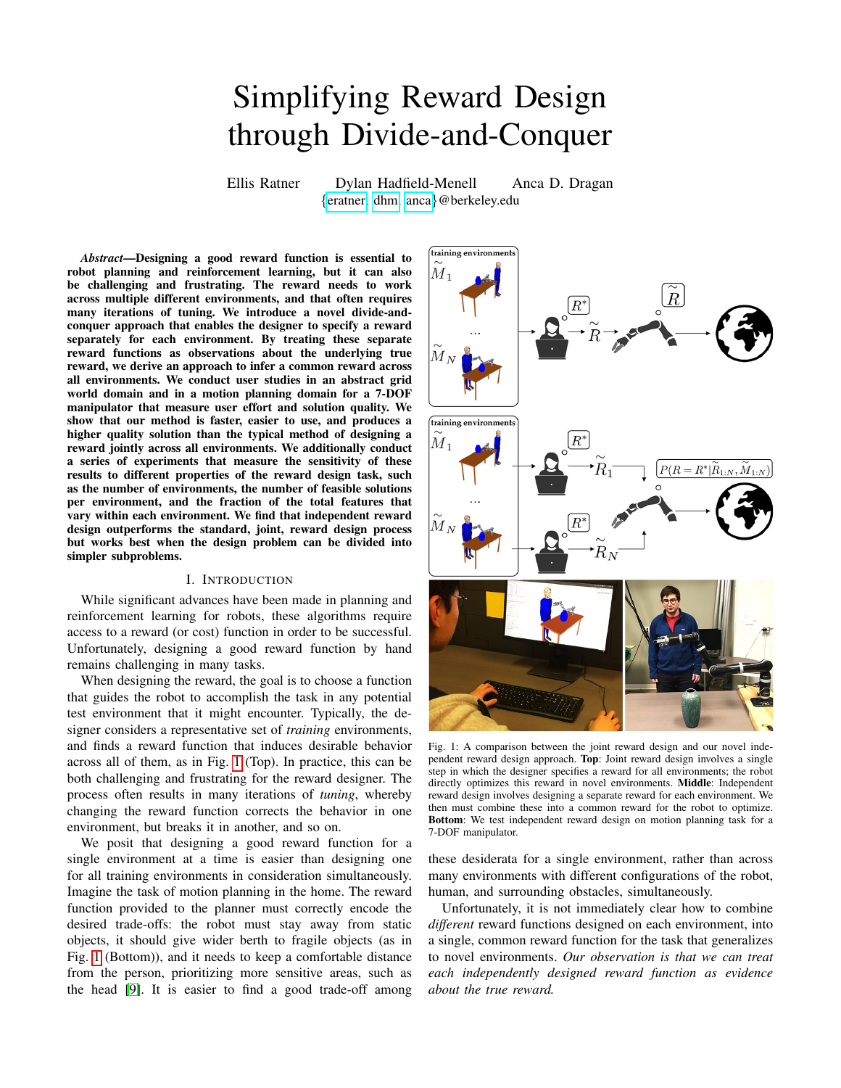Augmented. Because the reward designer might not be perfect at communicating the true reward to the robot, the nominal jointly designed reward may not be correct. Perhaps more importantly, there are cases when there are multiple reward functions that induce optimal behavior with respect to the true reward on the training environments, yet only a subset of those rewards perform well in the test environments. The comparison between nominal joint design and independent reward design is the practically relevant one, but scientifically it leaves us with a confound: independent reward design combines the idea of independent design with the idea of treating specified rewards as observations. We thus use the latter to augment joint reward design as well: we treat the single reward  $\theta$  designed across all training environments  $M_i$ as an observation of the true reward  $\theta$ 

$$
P(\theta = \theta \mid \theta, M_{1:N}) \propto P(\theta | \theta, M_{1:N}) P(\theta).
$$
 (8)

This is very similar to [\(2\)](#page-2-1). The main difference is that the observation model  $P(\theta|\theta, M_{1:N})$  here is conditioned on the entire set of training environments, rather than a single specific environment. This formulation leaves us with a choice of how to define this observation model. We use a simple observation model that assumes the designer chooses the same proxy reward  $θ$  in *all* of the environments

$$
P(\theta | \theta, M_{1:N}) \propto \prod_{i=1}^{N} P(\theta | \theta, M_i).
$$
 (9)

We approximate this distribution similarly to the independent reward design observation model.

## <span id="page-3-0"></span>V. EVALUATING INDEPENDENT REWARD DESIGN IN ABSTRACT DOMAINS

## *A. Experiment Design*

Type of Design Problem. We begin by evaluating independent reward design in grid worlds, on a set of environments that capture some of the challenges of reward tuning that designers often face in many real robotics problems.

We start with this domain because it affords us greater flexibility in manipulating the environments and the difficulty of the task, which we will leverage for our sensitivity analysis in Sec. [VII.](#page-5-0) In the next section, we will test the generalization of the results from this domain to a real robot task.

Problem Domain. In this experiment, we ask participants to design a reward function for a standard 8-connected grid world navigation task.

For this study, we heuristically chose a set of environments that exhibit several characteristics of a typical, real-world robotics task. When designing a reward function, a roboticist typically attempts to sample environments that capture a diverse set of conditions under which the robot operates. For example, when designing a reward for a self-driving car, we choose training environments that exhibit a variety of weather, traffic conditions, road geometries, etc. Similarly, no two of environments in our training set have the same

distribution of features/colors. An additional characteristic of real-world robotics domains is that not all features will be present in a single environment. For example, we would rarely expect a self-driving car to experience all weather and traffic conditions, road geometries, etc. in a single training environment. Likewise, we chose the set such that not all the features are present in a single environment.

Independent Variables. We manipulated the reward design process: either independent, or joint. In both cases, we presented the user with the same set of 5 environments, one of which is shown in Fig. [2](#page-4-0) (Right). For independent reward design, we presented the user with each environment separately. For joint reward design, we presented the user with all environments at the same time.

In order to evaluate the performance of the algorithms, we needed access to the ground truth reward. Therefore, rather than asking users to design according to some internal preference, we showed them the trajectory that results from optimizing this ground truth reward. We then asked them to create a reward function that incentivizes that behavior.

Dependent Measures. *Objective Measures.* We measured the time taken by the user to complete the task for each condition. We also measured the quality of the solution produced by reward design using regret computed on a set of 100 randomlygenerated environments different from the training set.

Specifically, we employed 2 measures of performance using the output from reward design. The first (regret nominal) measures the regret when planning with the proxy for joint, and with the mean of the posterior over the true reward function for independent, as described in Sec. [III.](#page-2-2)

To provide a fair comparison between the two conditions, we applied the machinery developed for generalizing designed rewards to joint reward design. This approach, which we call augmented joint reward design (see Sec. [IV\)](#page-2-3), produces a distribution over the true reward function, which allows for more direct comparisons to independent reward design.

This leads to a second measure (regret IRD-augmented), whereby we compute the regret incurred when optimizing the mean of the distribution produced by augmented joint reward design.

*Subjective Measures.* We used the Likert scale questions in the [Likert Questions](#page-4-1) table to design a scale that captures the speed and ease of use for a reward design process.

Hypothesis. H1. *The independent design process will lead to lower regret within a smaller amount of time, and with higher subjective evaluation of speed and ease of use.*

Participants and Allocation. We chose a within-subjects design to improve reliability, and controlled for the learning effect by putting independent always first (this may have slightly disadvantaged the independent condition). There were a total of 30 participants. All were from the United States and recruited through Amazon's Mechanical Turk (AMT) platform, with a minimum approval rating of 95% on AMT.

## *B. Analysis*

Objective Measures. We first ran a repeated-measures ANOVA with reward design process as a factor and user ID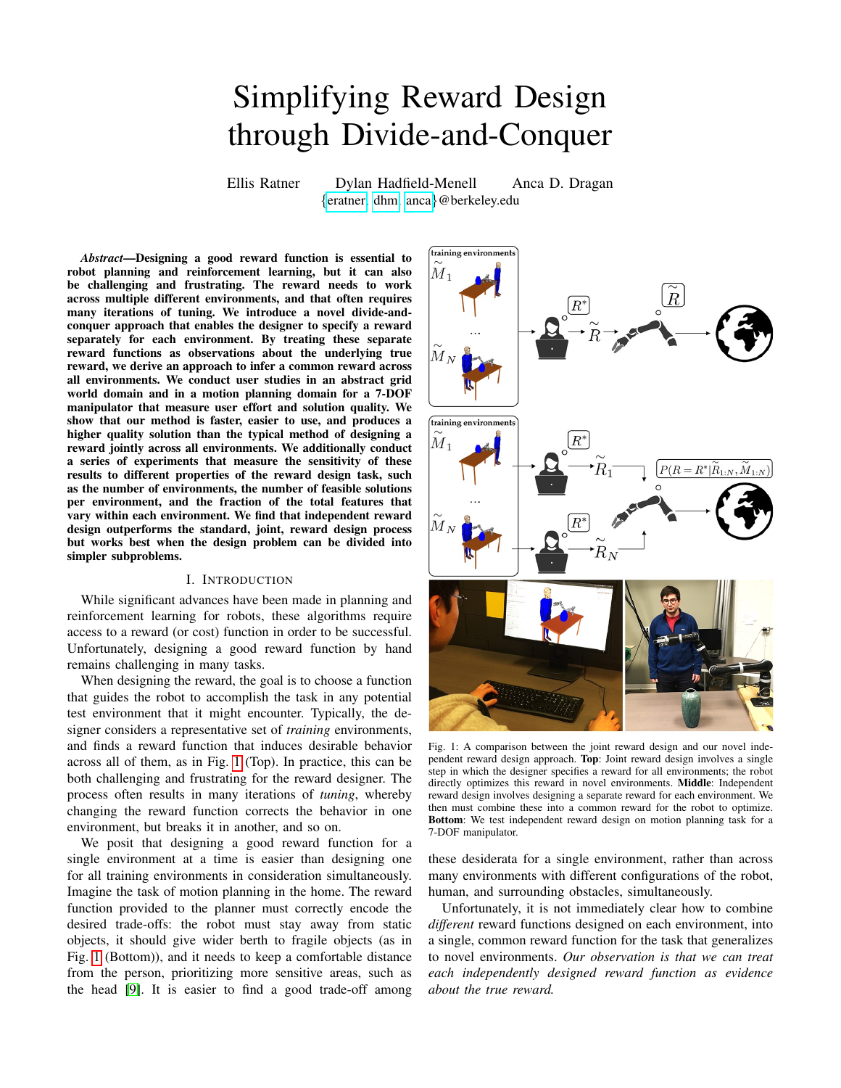<span id="page-4-0"></span>

Fig. 2: Left: The results of our study in grid worlds indicate that independent reward design is faster, leads to better performance, and is rated as easier to use. Right: Some of the grid world environments used in the study. Participants tuned the parameters of the reward function by using a set of sliders.



<span id="page-4-1"></span>Q1: It was easy to complete [process].

Q2: I had a harder time with [process].

Q3: [process] was fast to complete.

Q4: [process] took fewer runs.

Q5: [process] was frustrating.

Q6: I went back and forth between different slider values a lot on [process].

as a random effect on the total time and the regret.

We found that independent outperformed joint across the board: the reward designed using the independent process and the posterior from the IRD-based inference method in Sec. [III](#page-2-2) had significantly lower regret  $(F(1, 30) = 10.32, p < .01)$ , and took significantly lower user time to design  $(F(1, 30) = 4.61$ ,  $p = .04$ ).

Because IRD-based inference is also meant to generalize the designed rewards, we also tested the IRD-augmented joint reward. IRD did improve the regret of the jointly designed reward, as expected. The regret was still significantly lower for independent  $(F(1, 30) = 15.33, p < .001)$ , however.

Fig. [2](#page-4-0) (Left) plots the results. Supporting our hypothesis, we see that at least for this kind of problem the independent approach enables users to design *better* rewards *faster*.

Subjective Measures. The inter-item reliability of our scale was high (Cronbach's  $\alpha = .97$ ). We thus averaged our items into one rating and ran a repeated measures ANOVA on that score. We found that independent led to significantly higher ratings than joint  $(F(1, 30) = 33.63, p < .0001)$ . The mean rating went from 2.35 for joint to 5.49 for independent.

Summary. *Overall, not only do users perform better with the independent process and faster, but they also subjectively prefer it over the joint process.*

# VI. EVALUATING INDEPENDENT REWARD DESIGN FOR A ROBOT MANIPULATOR

# *A. Experiment Design*

Problem Domain. Following the promising results of our grid world experiments, we sought to apply independent reward design to a robot motion planning problem. In this experiment, we examine reward design for the Jaco 7-DOF arm planning trajectories in a household environment. We employ TrajOpt [\[13\]](#page-8-17), an optimization-based motion planner, within a lightweight ROS/RViz visualization and simulation framework. Each environment contains a different configuration of a table, a vase, and a human. We used linear reward functions. Our features were radial basis function (RBF) distances from the end-effector to: the human's torso, the human's head, and the vase. We had an additional feature indicating the distance from the end-effector to the table. These features are illustrated in Fig. [3.](#page-5-1)

Participants specified the weights on the 4 features by tuning sliders, as in the grid worlds study in Sec. [V.](#page-3-0) We asked participants to design a reward that induces a trajectory close to a ground truth trajectory that is visualized. This ground truth trajectory is the result of optimizing a ground truth reward function that is hidden from the participants.

Variables. We used the same independent and dependent variables as in the grid world study in Sec. [V.](#page-3-0)

Hypothesis. H2. *The independent design process will lead to lower regret within a smaller amount of time, and with higher subjective evaluation of speed and ease of use.*

Participants and Allocation. We chose a within-subjects design to improve reliability, and counterbalancing to mitigate strong learning effects observed in the pilot. There were a total of 60 participants. All were from the United States and recruited through AMT with a minimum approval rating of 95%.

## *B. Analysis*

Objective Measures. Our results in the manipulation domain are analogous to the grid world domain. We found a significant decrease in time  $(F(1, 59) = 10.97, p < .01)$  and regret (both nominal,  $F(1, 59) = 38.66, p < .0001$ , and augmented,  $F(1, 59) = 54.68$ ,  $p < .0001$ ) when users employed independent for designing rewards, as illustrated in Fig. [3.](#page-5-1)

Subjective Measures. We found that users found independent to be significantly easier to use than joint in designing rewards  $(F(1, 59) = 40.76, p < .0001)$ , as shown in Fig. [3.](#page-5-1)

Summary. *Overall, our results for manipulation follow those in the grid world domain: not only do users perform better with the independent process and faster, but they also subjectively prefer it over the joint process.*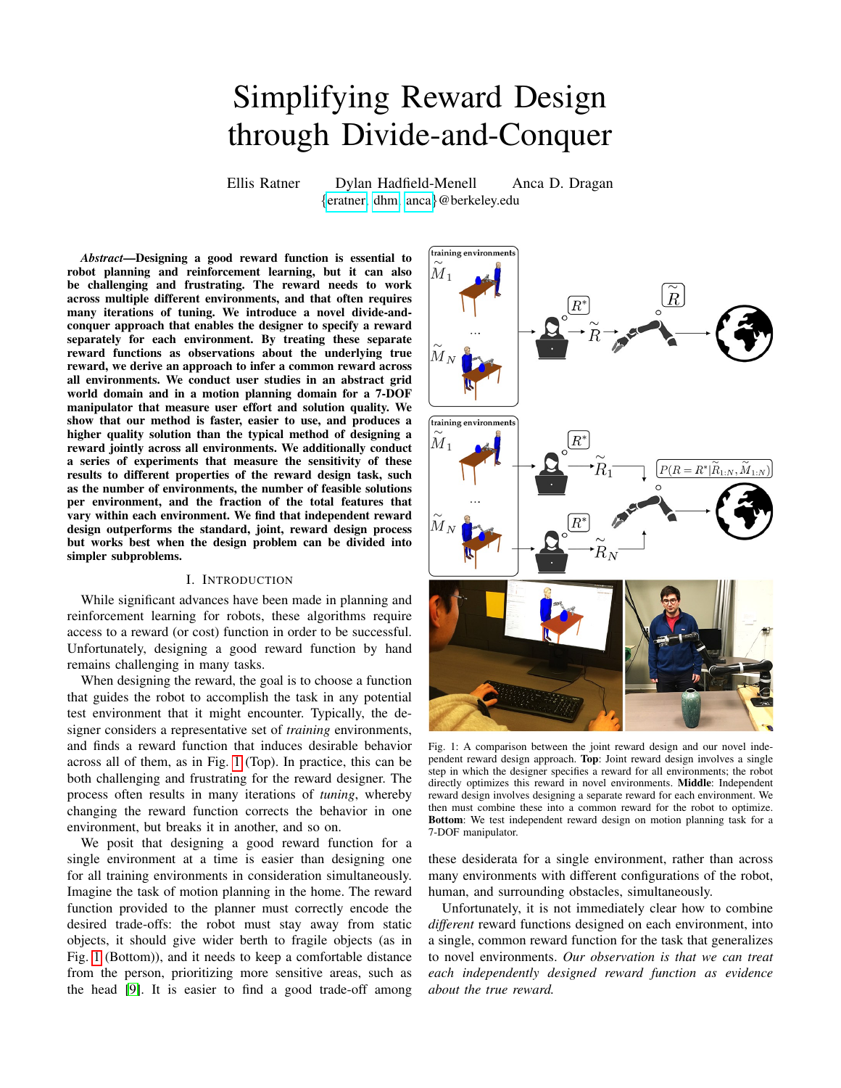<span id="page-5-1"></span>

Fig. 3: Left: The results of our study on the Jaco 7-DOF arm are consistent with the previous study in grid worlds, further illustrating the potential benefits of independent reward design. Right: Two of the environments used in this study. Participants were asked to tune the weights on 4 features to achieve a desired trajectory: RBF distance to the human's head, torso, RBF distance to the vase, and distance from the table. After changing changing these weights, users were able to forward-simulate the trajectory to evaluate the induced behavior, as shown on the right.

#### VII. SENSITIVITY ANALYSIS

<span id="page-5-0"></span>From a practical standpoint, our experiments thus far showcase the advantages of independent reward design over the traditional approach of designing rewards jointly. We saw equivalent results in the grid world and the motion planning task. From a scientific standpoint, however, there are still open questions: we need push the limits of this method and investigate exactly what factors of a design problem lead to its advantages. We conduct three additional experiments. We chose to conduct this sensitivity analysis in the abstract grid world domain of Sec. [V](#page-3-0) to make it easier to manipulate properties of the environments that we present to participants.

## *A. Feasible Rewards Set Size*

In this experiment, we characterize the difficulty of a reward design by examining the *feasible rewards set*  $\mathcal{F}_{\epsilon}(M, \xi)$  for a problem: the set of reward functions that produce the desired trajectory  $\xi$  in a given environment, within some tolerance  $\epsilon \geq 0$ . That is,

$$
\mathcal{F}_{\epsilon}(M,\xi) = \{ \theta \in \mathbb{R}^{k} : d(\xi,\xi_{\theta}) \le \epsilon \},\tag{10}
$$

where  $\xi_{\theta}$  = argmax<sub>ξ</sub> $R(\xi; \theta)$  subject to the dynamics of environment M,  $d : \times \rightarrow \mathbb{R}$  is a distance metric on , and  $\epsilon \geq 0$  is a small constant. We vary both the size of  $\mathcal{F}_{\epsilon}(M_i, \xi)$ , as well as the intersection over all  $\mathcal{F}_{\epsilon}(M_i, \xi)$ , for  $i = 1, \ldots, N$ . For environments with discrete state and action spaces, we let  $\epsilon = 0$ , so that trajectories in the feasible set must match exactly the true trajectory.

Independent Variables. We manipulate the reward design process (joint vs. independent), the average feasible set size over the set of environments (large vs. small), and the size of the intersection of the feasible sets for all environments (large vs. small).

We chose the categories of feasible sets using thresholds selected by examining the feasible set sizes and intersection sizes in the previous studies. To choose the environment sets for each of the 4 categories, we followed a simple procedure. We sampled sets of 5 environments, and computed the feasible set size and intersection size for each set. Then we chose 1 set from each category randomly to use in this study.

Hypotheses.

H3. *The size of the feasible set for an environment negatively affects the amount of time taken for that environment in the independent condition (i.e. larger feasible set leads to less time spent designing the reward).*

H4. *The size of the intersection of feasible sets negatively affects the amount of time taken in the joint condition (again, larger intersection set means smaller amount of time).*

We still believe that on average across this variety of environments, independent leads to better results:

H5. *Independent will still lead to lower time and regret while receiving higher subjective ratings.*

Participants and Allocation. Same as the study in Sec. [V,](#page-3-0) except now we recruited 20 participants per environment set for a total of 80.

Analysis. In this experiment, we attempt to characterize difficulty of reward design on a set of environments by two properties: the feasible reward set size for each individual environment, and the intersection of feasible reward sets across the training set. Our results support the hypotheses that environments with *large* feasible reward sets are typically *easier*, and joint performs best for training sets with *large* intersections of feasible reward sets. Overall, however, independent still performs well in all cases.

To test H3, we fit the amount of time spent for each environment in the independent condition by the size of the feasible set for each user and environment, and found a significant negative effect as hypothesized ( $F(1, 568) = 14.98$ ,  $p \leq 0.0001$ . This supports **H3**. Fig. [4](#page-6-0) (Bottom) shows a scatterplot of time by feasible set size.

To test H4, we fit the amount of time spent designing the joint reward by the size of the intersection of feasible sets. There was a marginal negative effect on time  $(F(1, 113)) =$ 2.55,  $p = .11$ ). This provides some partial support to **H4**.

To test H5, we ran a fully factorial repeated-measures ANOVA for time and regret using all 3 factors: design process, average size of feasible set (large vs. small), and size of intersection of feasible sets (large vs. small).

For time, we found two significant effects: process and intersections size. Independent indeed led to significantly less time taken *even across this wider set of environments* that is meant to balance the scales between independent and joint  $(F(1, 163) = 10.27, p < .01)$ . And indeed, larger intersection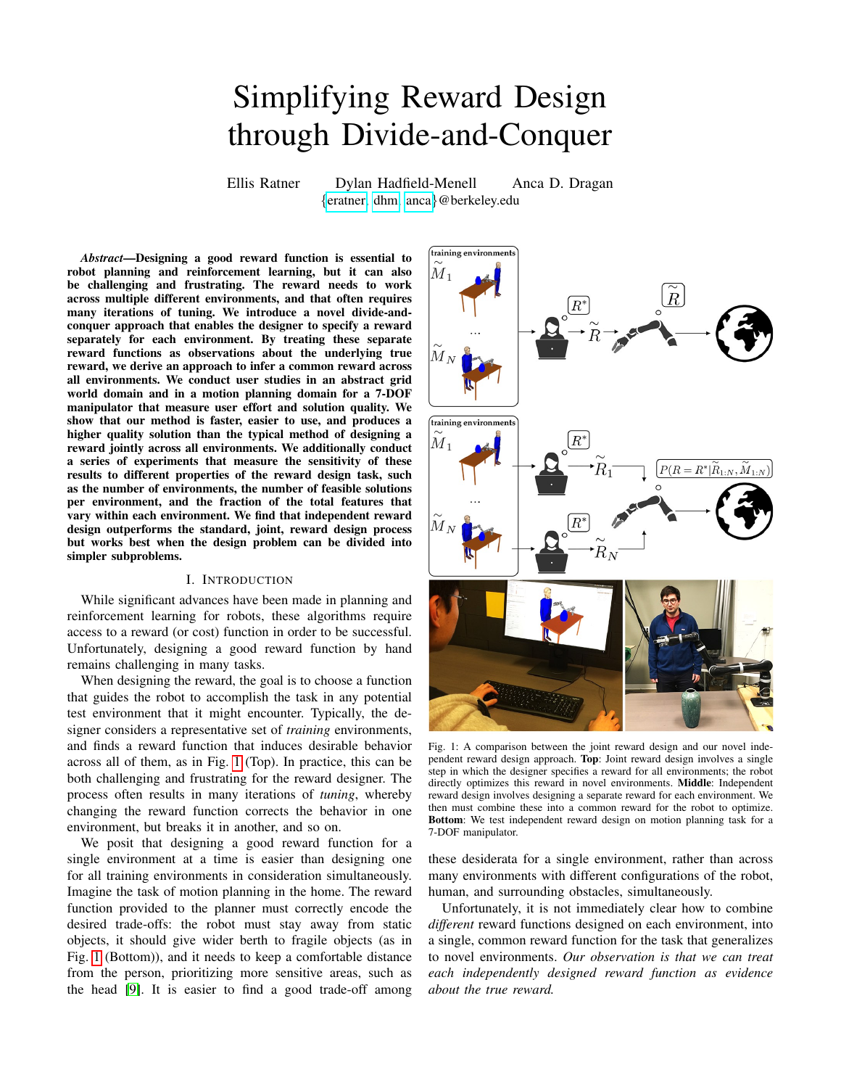<span id="page-6-0"></span>

Fig. 4: Left: Across small or large feasible sets and intersections sizes, independent still outperforms joint design. A smaller intersection size makes the problem harder, as expected. Right: As the number of environments increases, we still see benefits in regret and ease of use, but the time difference is less pronounced.

size led to less time  $(F(1, 163) = 8.93, p < .01)$ .

For regret, we again found a significant effect for process, with independent leading to significantly lower regret  $(F(1, 163) = 19.66, p < .0001)$ . Smaller feasible sets and smaller intersections led to significantly lower regret too  $(F(1, 163) = 38.69, p < .0001$  for feasible sets and  $F(1, 163) = 8.1, p < .01$  for intersections). While smaller feasible reward sets are typically more challenging for the reward designer, they are in fact more informative – often smaller sets mean that when designers identify the desired reward, there are few others that would induce the same desired behavior. Informally, this means that this recovered reward is more likely to be close to the true reward, and hence will generalize well to new environments and induce lower regret. But there were also interaction effects: between process and feasible set size, and between feasible set size and intersection size. We did posthocs with Tukey HSD. We found that while independent improved regret significantly for large feasible sets (the setting where independent works best, because each environment is easy;  $p < .0001$ ), the improvement was smaller and no longer significant for the small feasible sets. The interaction between the two size variables revealed that when both the sets and their intersection are large, the regret is the highest; when they are both small, the regret is lowest; when one of them is small and the other large, the regret lies somewhere in between the other two conditions.

The results for both time and regret support H5, and the results for time are summarized in Fig. [4](#page-6-0) (Left).

Summary. *Overall, our result from the main study generalized to this wider range of environments: independent still lead to less time taken and lower regret.* However, it does seem like environments with very small feasible sets would be difficult with the independent process, almost as difficult as with joint. Independent will work best when each environment is simple, but getting a reward that works across *all* environments is hard.

<span id="page-6-1"></span>

Fig. 5: Independent reward design performs best when around half of the total number of relevant features are present in each environment.

### *B. Number of Features per Environment*

This study investigates the effectiveness of our approach as the number of features present in each environment changes. Independent Variables. We manipulated the fraction of the total features  $F$  present in each environment, varying from  $F = 2/5$  to  $F = 5/5$ , with 5 possible relevant features in this domain (i.e. 5 different terrains in the grid world).

In total, we had 5 sets of environments (4 on top of our set from Sec. [V\)](#page-3-0). We also manipulated the reward design process as before.

Hypothesis. H6. *Independent reward design outperforms joint when there are some, but not all of the total number of features possible per environment.* We expect to see that independent has performance on par with joint when all features are present in each environment – then, the designer has to consider the effect of all features on the induced behavior, and hence must specify weights on *all* features for *all* training environments, the same as in the joint condition. We also expect the same performance between the two conditions when there are only 2 of 5 features present in each environment, because identifying the trade-offs between features becomes trivial.

Participants and Allocation. Same as the study in Sec. [V,](#page-3-0)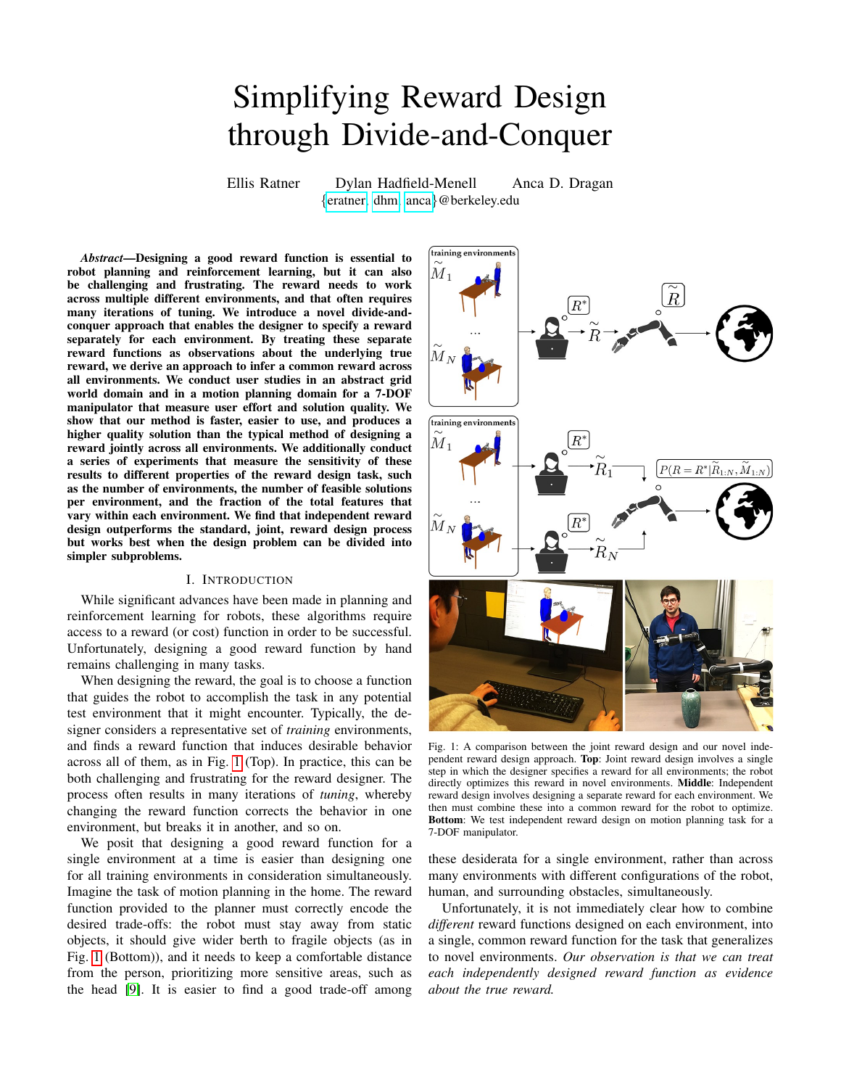except now we recruited 20 participants per environment set for a total of 80.

Analysis. Taken as a whole, the data aligns well with our hypothesis. Independent tends to outperform joint with a moderate fraction of the total number of features (3/5 or 4/5), but the two methods perform about the same when the minimum (2/5) or maximum (5/5) fraction of features are present. These results are summarized in Fig. [5.](#page-6-1)

We ran a repeated measures factorial ANOVAs, with results largely supporting H6. The effect was most clear in the subjective measures, where we saw an interaction effect between the two factors on our ease of use scale– the difference between user preference on  $F = 3/5$  and  $F = 4/5$  was so strong, that even the Tukey HSD posthoc, which compensates for making 28 comparisons, found a significant improvement of independent over joint for those feature numbers ( $p < .0001$ ) and  $p < .02$ ). For other measures the difference on these two features was not strong enough to survive this level of compensation for multiple comparisons, but of course planned contrasts of independent vs. joint on each of the number of features support the improvement in both regret and time.

Summary. *Overall, independent outperforms joint when each environment only contains a subset of the total number of features relevant to the task.*

## *C. Number of Environments*

Our final experiment varies the number of environments used in the reward design process.

Independent Variable. We manipulated the number of environments in the training set. Starting from the set of environments used in the primary study (Sec. [V\)](#page-3-0), we either randomly removed or added environments to achieve set sizes of 3, 7, and 9. When adding, we implemented a rejection sampling algorithm for heuristically avoiding environment sets that would be trivially-solved by a reward designer.

Hypothesis. We did not have a clear hypothesis prior to the study: while increasing the number of environments should make joint reward design more difficult, the effort required for independent reward design should scale linearly with the number of environments as well.

Participants and Allocation. Analogous to Sec. [V,](#page-3-0) except we recruited 20 users per condition, for a total of 80 users.

Analysis. We conducted a repeated measures factorial ANOVA with number of environments and process as factors, for each of our dependent measures. We found that the number of environments influenced many of the metrics. As shown in Fig. [4](#page-6-0) (Right), independent consistently outperformed joint in terms of regret  $(F(1, 161) = 9.68, p < .01)$  and ease of use  $(F(1, 161) = 20.65, p < .0001)$ . We also saw that the time taken went up with the number of environments  $(F(3, 159) = 4.94, p < .01)$ ; this is unsurprising, as designing a reward for more environments should require more effort.

Furthermore, we observe that independent is most time efficient with respect to joint when there are a moderate number of environments (in this study, 5). If there are too few environments (in this study, 3) or too many environments (in this study, 7 or 9), then the differences in time taken are not significant. This follows our intuition about in what regimes independent or joint reward design should be used.

Summary. *Overall, we observe that while the reward recovered by independent induces lower regret and independent is consistently rated as easier to use, there is less of an advantage with respect to reward design time if the number of environments is very small or very large.*

#### VIII. DISCUSSION

Summary. We introduced an approach to dividing the reward design process into "subproblems" by enabling the designer to individually specify a separate reward function for each training environment. The robot combines the individual rewards to form a posterior distribution over the true reward, and uses it to plan behavior in novel environments.

We showed that our independent reward design approach performs better than traditional reward design: not only did users find independent design easier to use, but it also resulted in a better quality solution. Furthermore, through a series of stability analysis experiments, we found that our method works best when specifying a complex reward function for a set of environments can be broken down into specifying simpler reward functions on each environment. This approach works well in robotics domains where the cycle of planning and simulation/testing on hardware is slow or computationally expensive, and hence fewer iterations of reward tuning is necessary.

Limitations and Future Work. One limitation of our experiments was that we provided users with the desired trajectory, rather than asking for them to come up with it, as would be the case in real-world reward design. We did this to control for differences is subjective interpretations of task completion across users. In future work, we plan explore independent reward design "in the wild".

Further, we see that independent reward design is easiest when users are given a moderately-sized set of training environments. In many real-world robotics settings, there are in fact *very large* sets of training environments. In future work, we are interested in exploring how to choose an appropriate subset from a larger set of environments, so as to maximize the solution quality.

Building on the promising results on a robot manipulation task, we are excited about the potential impact of our approach to designing rewards for a broader class of robotics problems. Designing reward function for use in planning for self-driving cars that must operate safely and comfortably across a variety of environments is challenging. We believe that independent reward design could be a helpful tool for engineers to design such rewards with greater ease.

## IX. ACKNOWLEDGEMENTS

This work was partially supported by AFOSR FA9550-17- 1-0308 and The Open Philanthropy Foundation.